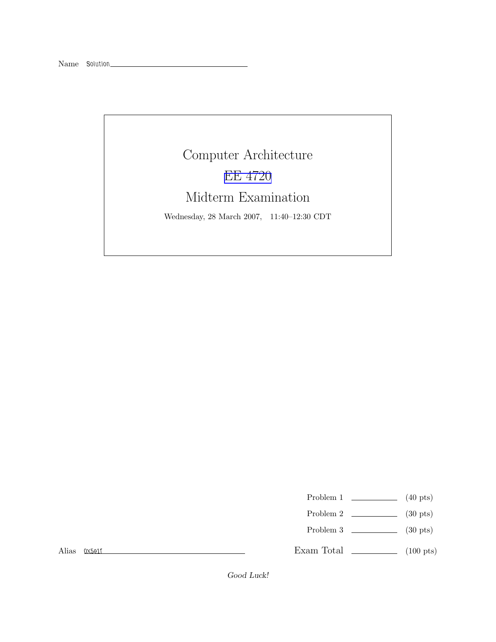## Computer Architecture EE [4720](http://www.ece.lsu.edu/ee4720/) Midterm Examination

Wednesday, 28 March 2007, 11:40–12:30 CDT

- Problem 1  $\qquad \qquad$  (40 pts)
- Problem 2  $\qquad \qquad$  (30 pts)
- Problem 3  $\qquad \qquad$  (30 pts)

Alias 0x5e1f

Exam Total \_\_\_\_\_\_\_\_\_\_\_\_\_ (100 pts)

Good Luck!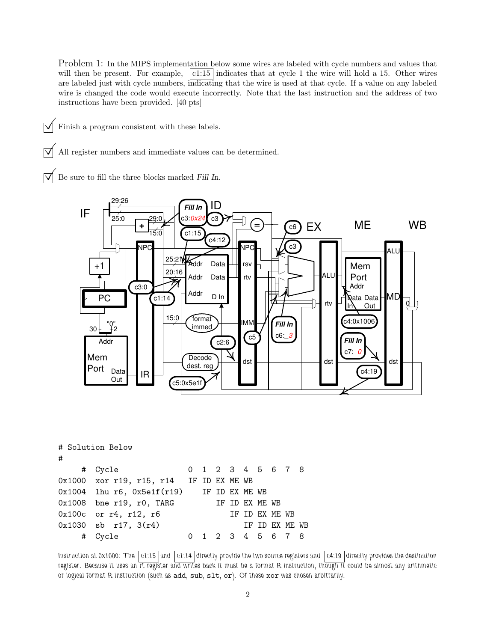Problem 1: In the MIPS implementation below some wires are labeled with cycle numbers and values that will then be present. For example,  $|c1:15|$  indicates that at cycle 1 the wire will hold a 15. Other wires are labeled just with cycle numbers, indicating that the wire is used at that cycle. If a value on any labeled wire is changed the code would execute incorrectly. Note that the last instruction and the address of two instructions have been provided. [40 pts]

 $\triangledown$  Finish a program consistent with these labels.

 $\sqrt{\phantom{a}}$  All register numbers and immediate values can be determined.

 $\overrightarrow{V}$  Be sure to fill the three blocks marked Fill In.



| # | # Solution Below                              |                |  |  |  |                   |  |                |  |  |
|---|-----------------------------------------------|----------------|--|--|--|-------------------|--|----------------|--|--|
|   | # Cycle                                       |                |  |  |  | 0 1 2 3 4 5 6 7 8 |  |                |  |  |
|   | 0x1000 xor r19, r15, r14 IF ID EX ME WB       |                |  |  |  |                   |  |                |  |  |
|   | $0x1004$ lhu r6, $0x5e1f(r19)$ IF ID EX ME WB |                |  |  |  |                   |  |                |  |  |
|   | $0x1008$ bne r19, r0, TARG                    | IF ID EX ME WB |  |  |  |                   |  |                |  |  |
|   | $0x100c$ or $r4$ , $r12$ , $r6$               |                |  |  |  | IF ID EX ME WB    |  |                |  |  |
|   | $0x1030$ sb $r17$ , $3(r4)$                   |                |  |  |  |                   |  | IF ID EX ME WB |  |  |
| # | Cvcle                                         |                |  |  |  | 1 2 3 4 5 6 7 8   |  |                |  |  |

Instruction at 0x1000: The  $\vert$  c1:15 and  $\vert$  c1:14 directly provide the two source registers and  $\vert$  c4:19 directly provides the destination register. Because it uses an rt register and writes back it must be a format R instruction, though it could be almost any arithmetic or logical format R instruction (such as add, sub, slt, or). Of these xor was chosen arbitrarily.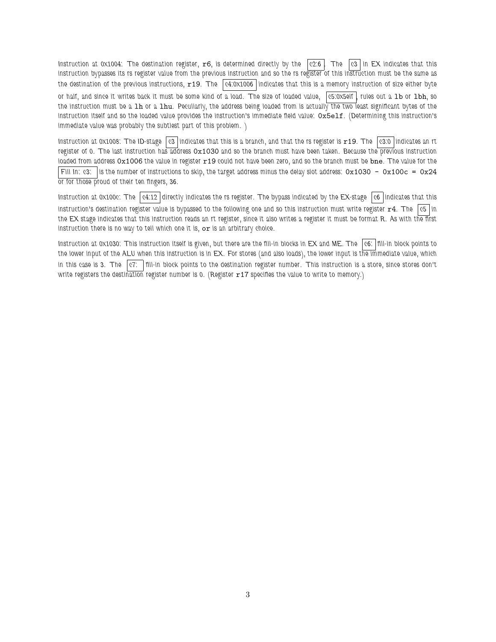Instruction at 0x1004: The destination register,  $r6$ , is determined directly by the  $|c2.6|$ . The  $|c3|$  in EX indicates that this instruction bypasses its rs register value from the previous instruction and so the rs register of this instruction must be the same as the destination of the previous instructions,  $r19$ . The  $|c4:0\times1006|$  indicates that this is a memory instruction of size either byte or half, and since it writes back it must be some kind of a load. The size of loaded value, c5:0x5elf , rules out a 1b or 1bh, so the instruction must be a 1h or a 1hu. Peculiarly, the address being loaded from is actually the two least significant bytes of the instruction itself and so the loaded value provides the instruction's immediate field value: 0x5elf. (Determining this instruction's immediate value was probably the subtlest part of this problem. )

Instruction at 0x1008: The ID-stage  $|c3|$  indicates that this is a branch, and that the rs register is  $r19$ . The  $\sqrt{c3:0}$  indicates an rt register of 0. The last instruction has address 0x1030 and so the branch must have been taken. Because the previous instruction loaded from address 0x1006 the value in register x19 could not have been zero, and so the branch must be bne. The value for the Fill In: c3: is the number of instructions to skip, the target address minus the delay slot address:  $0x1030 - 0x100c = 0x24$ or for those proud of their ten fingers, 36.

Instruction at 0x100c: The  $\vert$  c4:12 directly indicates the rs register. The bypass indicated by the EX-stage  $\vert$  c6 indicates that this instruction's destination register value is bypassed to the following one and so this instruction must write register  $r4$ . The  $|c5|$  in the EX stage indicates that this instruction reads an rt register, since it also writes a register it must be format R. As with the first instruction there is no way to tell which one it is, or is an arbitrary choice.

Instruction at 0x1030: This instruction itself is given, but there are the fill-in blocks in  $EX$  and  $ME$ . The  $|c6$ :  $|f||-iD|$  block points to the lower input of the ALU when this instruction is in EX. For stores (and also loads), the lower input is the immediate value, which in this case is 3. The  $\vert c7$ :  $\vert$  fill-in block points to the destination register number. This instruction is a store, since stores don't write registers the destination register number is 0. (Register  $r17$  specifies the value to write to memory.)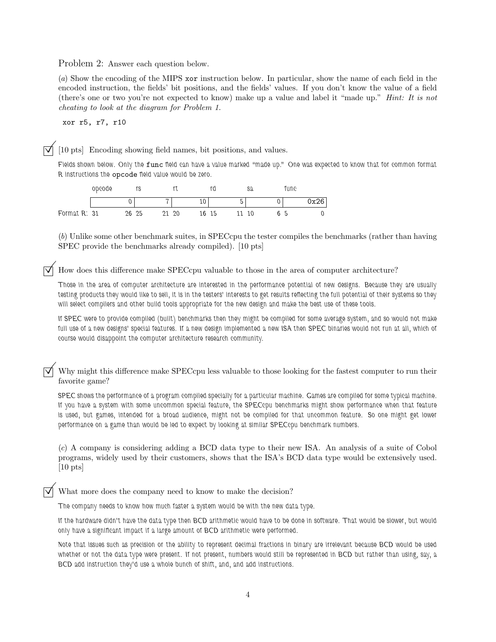Problem 2: Answer each question below.

(a) Show the encoding of the MIPS xor instruction below. In particular, show the name of each field in the encoded instruction, the fields' bit positions, and the fields' values. If you don't know the value of a field (there's one or two you're not expected to know) make up a value and label it "made up." Hint: It is not cheating to look at the diagram for Problem 1.

xor r5, r7, r10

©[10 pts] Encoding showing field names, bit positions, and values.

Fields shown below. Only the func field can have a value marked "made up." One was expected to know that for common format R instructions the opcode field value would be zero.

|              | opcode |       | rs |   |    |    |    |   | sa | 'unc |                       |
|--------------|--------|-------|----|---|----|----|----|---|----|------|-----------------------|
|              |        |       |    | - |    | τn |    | - |    |      | $\gamma_{\mathbf{v}}$ |
| Format R: 31 |        | 26 25 |    |   | 20 | 16 | 15 |   | 10 |      |                       |

(b) Unlike some other benchmark suites, in SPECcpu the tester compiles the benchmarks (rather than having SPEC provide the benchmarks already compiled). [10 pts]

© How does this difference make SPECcpu valuable to those in the area of computer architecture?

Those in the area of computer architecture are interested in the performance potential of new designs. Because they are usually testing products they would like to sell, it is in the testers' interests to get results reflecting the full potential of their systems so they will select compilers and other build tools appropriate for the new design and make the best use of these tools.

If SPEC were to provide compiled (built) benchmarks then they might be compiled for some average system, and so would not make full use of a new designs' special features. If a new design implemented a new ISA then SPEC binaries would not run at all, which of course would disappoint the computer architecture research community.

Why might this difference make SPECcpu less valuable to those looking for the fastest computer to run their favorite game?

SPEC shows the performance of a program compiled specially for a particular machine. Games are compiled for some typical machine. If you have a system with some uncommon special feature, the SPECcpu benchmarks might show performance when that feature is used, but games, intended for a broad audience, might not be compiled for that uncommon feature. So one might get lower performance on a game than would be led to expect by looking at similar SPECcpu benchmark numbers.

(c) A company is considering adding a BCD data type to their new ISA. An analysis of a suite of Cobol programs, widely used by their customers, shows that the ISA's BCD data type would be extensively used. [10 pts]

What more does the company need to know to make the decision?

The company needs to know how much faster a system would be with the new data type.

If the hardware didn't have the data type then BCD arithmetic would have to be done in software. That would be slower, but would only have a significant impact if a large amount of BCD arithmetic were performed.

Note that issues such as precision or the ability to represent decimal fractions in binary are irrelevant because BCD would be used whether or not the data type were present. If not present, numbers would still be represented in BCD but rather than using, say, a BCD add instruction they'd use a whole bunch of shift, and, and add instructions.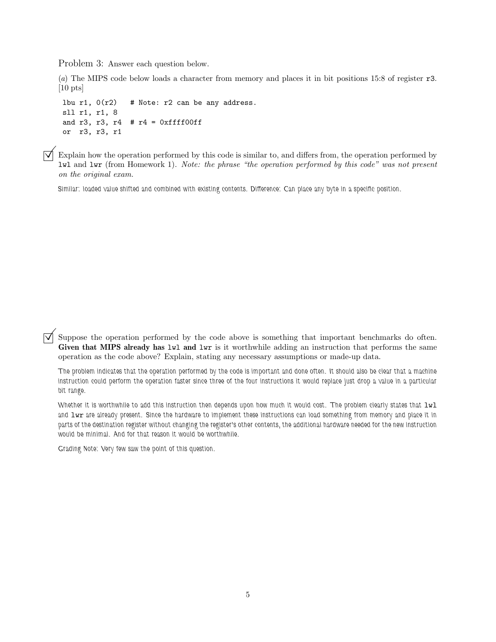Problem 3: Answer each question below.

(a) The MIPS code below loads a character from memory and places it in bit positions 15:8 of register r3. [10 pts]

lbu r1,  $0(r2)$  # Note: r2 can be any address. sll r1, r1, 8 and r3, r3, r4  $#$  r4 = 0xffff00ff or r3, r3, r1

 $\triangledown$  Explain how the operation performed by this code is similar to, and differs from, the operation performed by lwl and lwr (from Homework 1). Note: the phrase "the operation performed by this code" was not present on the original exam.

Similar: loaded value shifted and combined with existing contents. Difference: Can place any byte in a specific position.

 $\triangledown$  Suppose the operation performed by the code above is something that important benchmarks do often. Given that MIPS already has lwl and lwr is it worthwhile adding an instruction that performs the same operation as the code above? Explain, stating any necessary assumptions or made-up data.

The problem indicates that the operation performed by the code is important and done often. It should also be clear that a machine instruction could perform the operation faster since three of the four instructions it would replace just drop a value in a particular bit range.

Whether it is worthwhile to add this instruction then depends upon how much it would cost. The problem clearly states that lwl and lwr are already present. Since the hardware to implement these instructions can load something from memory and place it in parts of the destination register without changing the register's other contents, the additional hardware needed for the new instruction would be minimal. And for that reason it would be worthwhile.

Grading Note: Very few saw the point of this question.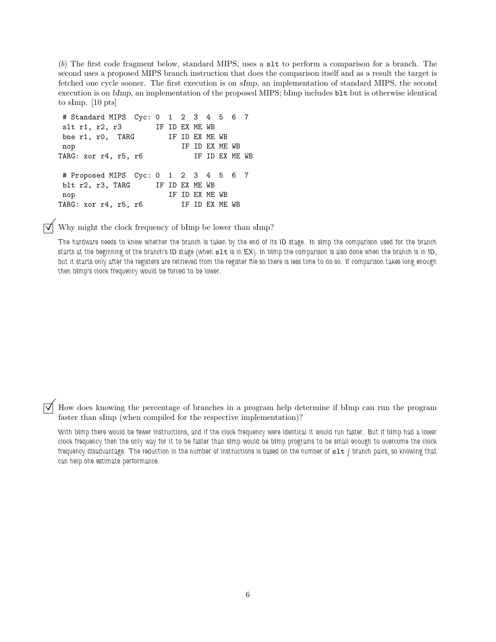(b) The first code fragment below, standard MIPS, uses a slt to perform a comparison for a branch. The second uses a proposed MIPS branch instruction that does the comparison itself and as a result the target is fetched one cycle sooner. The first execution is on sImp, an implementation of standard MIPS, the second execution is on bImp, an implementation of the proposed MIPS; bImp includes blt but is otherwise identical to sImp. [10 pts]

```
# Standard MIPS Cyc: 0 1 2 3 4 5 6 7
slt r1, r2, r3 IF ID EX ME WB
bne r1, r0, TARG IF ID EX ME WB
nop IF ID EX ME WB
TARG: xor r4, r5, r6 IF ID EX ME WB
# Proposed MIPS Cyc: 0 1 2 3 4 5 6 7
blt r2, r3, TARG IF ID EX ME WB
nop IF ID EX ME WB
TARG: xor r4, r5, r6 IF ID EX ME WB
```
Why might the clock frequency of bImp be lower than sImp?

The hardware needs to know whether the branch is taken by the end of its ID stage. In sImp the comparison used for the branch starts at the beginning of the branch's ID stage (when slt is in EX). In bImp the comparison is also done when the branch is in ID, but it starts only after the registers are retrieved from the register file so there is less time to do so. If comparison takes long enough then bImp's clock frequency would be forced to be lower.

How does knowing the percentage of branches in a program help determine if bImp can run the program faster than sImp (when compiled for the respective implementation)?

With bImp there would be fewer instructions, and if the clock frequency were identical it would run faster. But if bImp had a lower clock frequency then the only way for it to be faster than sImp would be bImp programs to be small enough to overcome the clock frequency disadvantage. The reduction in the number of instructions is based on the number of slt / branch pairs, so knowing that can help one estimate performance.